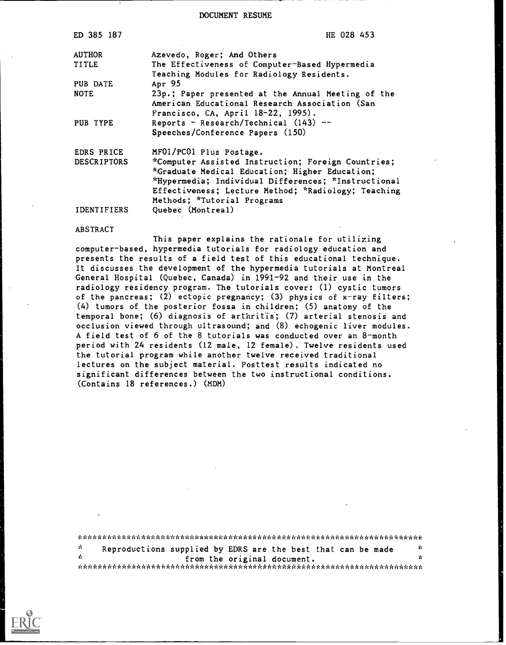DOCUMENT RESUME

| ED 385 187         | HE 028 453                                                                                                                                                                                                                                        |
|--------------------|---------------------------------------------------------------------------------------------------------------------------------------------------------------------------------------------------------------------------------------------------|
| <b>AUTHOR</b>      | Azevedo, Roger; And Others                                                                                                                                                                                                                        |
| <b>TITLE</b>       | The Effectiveness of Computer-Based Hypermedia                                                                                                                                                                                                    |
| PUB DATE           | Teaching Modules for Radiology Residents.<br>Apr 95                                                                                                                                                                                               |
| <b>NOTE</b>        | 23p.; Paper presented at the Annual Meeting of the<br>American Educational Research Association (San<br>Francisco, CA, April 18-22, 1995).                                                                                                        |
| PUB TYPE           | Reports - Research/Technical $(143)$ --<br>Speeches/Conference Papers (150)                                                                                                                                                                       |
| EDRS PRICE         | MF01/PC01 Plus Postage.                                                                                                                                                                                                                           |
| <b>DESCRIPTORS</b> | *Computer Assisted Instruction; Foreign Countries;<br>*Graduate Medical Education; Higher Education;<br>*Hypermedia; Individual Differences; *Instructional<br>Effectiveness; Lecture Method; *Radiology; Teaching<br>Methods; *Tutorial Programs |
| <b>IDENTIFIERS</b> | Quebec (Montreal)                                                                                                                                                                                                                                 |

#### ABSTRACT

This paper explains the rationale for utilizing computer-based, hypermedia tutorials for radiology education and presents the results of a field test of this educational technique. It discusses the development of the hypermedia tutorials at Montreal General Hospital (Quebec, Canada) in 1991-92 and their use in the radiology residency program. The tutorials cover: (1) cystic tumors of the pancreas; (2) ectopic pregnancy; (3) physics of  $x$ -ray filters; (4) tumors of the posterior fossa in children; (5) anatomy of the temporal bone; (6) diagnosis of arthritis; (7) arterial stenosis and occlusion viewed through ultrasound; and (8) echogenic liver modules. A field test of 6 of the 8 tutorials was conducted over an 8-month period with 24 residents (12 male, 12 female). Twelve residents used the tutorial program while another twelve received traditional lectures on the subject material. Posttest results indicated no significant differences between the two instructional conditions. (Contains 18 references.) (MDM)

| Reproductions supplied by EDRS are the best that can be made |  |  |  |  |
|--------------------------------------------------------------|--|--|--|--|

\* from the original document. \*\*\*\*\*\*\*\*\*\*\*\*\*\*\*\*\*\*\*\*\*\*\*\*\*\*\*\*\*\*\*\*\*\*\*\*\*\*\*\*\*\*\*\*\*\*\*\*\*\*\*\*\*\*\*\*\*\*\*\*\*\*\*\*\*\*\*\*\*\*\*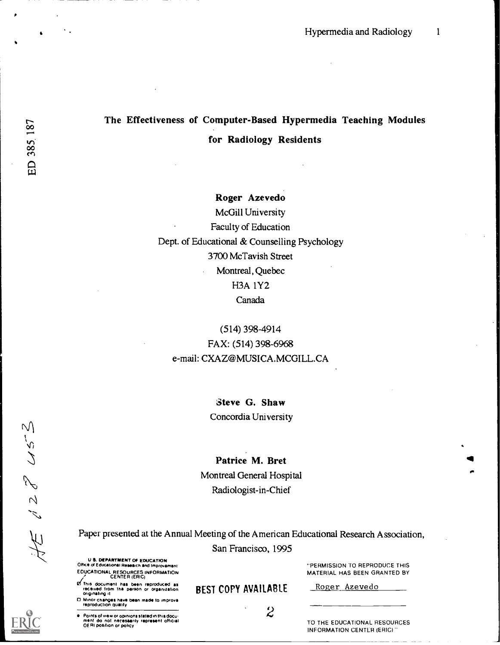# The Effectiveness of Computer-Based Hypermedia Teaching Modules for Radiology Residents

Roger Azevedo McGill University Faculty of Education Dept. of Educational & Counselling Psychology 3700 McTavish Street Montreal, Quebec H3A 1Y2 Canada

(514) 398-4914 FAX: (514) 398-6968 e-mail: CXAZ@MUSICA.MCGILL.CA

> Steve G. Shaw Concordia University

Patrice M. Bret Montreal General Hospital Radiologist-in-Chief

San Francisco, 1995

U S. DEPARTMENT OF EDUCATION Office of Educafiohel F11108,ch and Improvement EDUCATIONAL RESOURCES INFORMATION CENTER (ERIC)

I/This document hes been reproduced se ieteived horn the Denten Or otoemsation originating it BEST COPY AVAILABLE

O Minor changes have bean made to improval<br>reproduction quality

Points of wee, or opinions stated in this docu-<br>ment do not necessarily represent official and the control of the CD THE ED<br>OERI position or policy

"PERMISSION TO REPRODUCE THIS MATERIAL HAS BEEN GRANTED BY

Roger Azevedo

TO THE EDUCATIONAL RESOURCES INFORMATION CENTER (ERIC)

 $\overline{\phantom{a}}$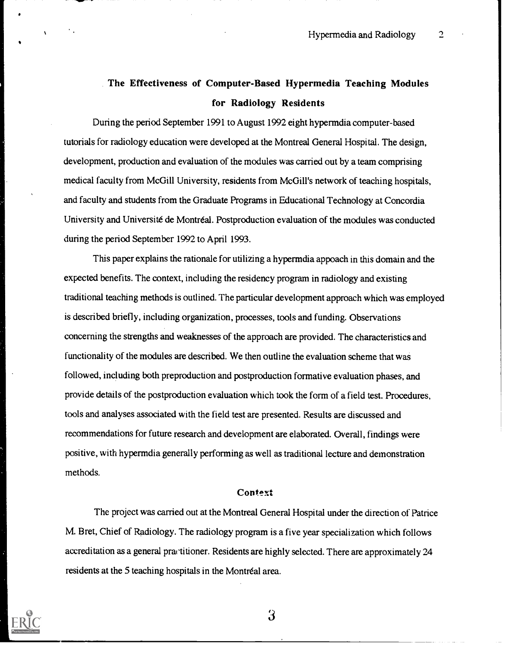# The Effectiveness of Computer-Based Hypermedia Teaching Modules for Radiology Residents

During the period September 1991 to August 1992 eight hypermdia computer-based tutorials for radiology education were developed at the Montreal General Hospital. The design, development, production and evaluation of the modules was carried out by a team comprising medical faculty from McGill University, residents from McGill's network of teaching hospitals, and faculty and students from the Graduate Programs in Educational Technology at Concordia University and Université de Montréal. Postproduction evaluation of the modules was conducted during the period September 1992 to April 1993.

This paper explains the rationale for utilizing a hypermdia appoach in this domain and the expected benefits. The context, including the residency program in radiology and existing traditional teaching methods is outlined. The particular development approach which was employed is described briefly, including organization, processes, tools and funding. Observations concerning the strengths and weaknesses of the approach are provided. The characteristics and functionality of the modules are described. We then outline the evaluation scheme that was followed, including both preproduction and postproduction formative evaluation phases, and provide details of the postproduction evaluation which took the form of a field test. Procedures, tools and analyses associated with the field test are presented. Results are discussed and recommendations for future research and development are elaborated. Overall, findings were positive, with hypermdia generally performing as well as traditional lecture and demonstration methods.

#### Context

The project was carried out at the Montreal General Hospital under the direction of Patrice M. Bret, Chief of Radiology. The radiology program is a five year specialization which follows accreditation as a general practitioner. Residents are highly selected. There are approximately 24 residents at the 5 teaching hospitals in the Montréal area.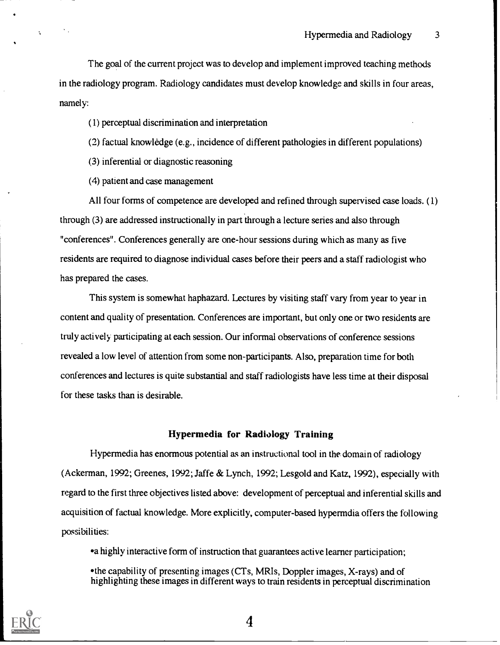The goal of the current project was to develop and implement improved teaching methods in the radiology program. Radiology candidates must develop knowledge and skills in four areas, namely:

(1) perceptual discrimination and interpretation

(2) factual knowledge (e.g., incidence of different pathologies in different populations)

(3) inferential or diagnostic reasoning

(4) patient and case management

All four forms of competence are developed and refined through supervised case loads. (1) through (3) are addressed instructionally in part through a lecture series and also through "conferences". Conferences generally are one-hour sessions during which as many as five residents are required to diagnose individual cases before their peers and a staff radiologist who has prepared the cases.

This system is somewhat haphazard. Lectures by visiting staff vary from year to year in content and quality of presentation. Conferences are important, but only one or two residents are truly actively participating at each session. Our informal observations of conference sessions revealed a low level of attention from some non-participants. Also, preparation time for both conferences and lectures is quite substantial and staff radiologists have less time at their disposal for these tasks than is desirable.

#### Hypermedia for Radiology Training

Hypermedia has enormous potential as an instructional tool in the domain of radiology (Ackerman, 1992; Greenes, 1992; Jaffe & Lynch, 1992; Lesgold and Katz, 1992), especially with regard to the first three objectives listed above: development of perceptual and inferential skills and acquisition of factual knowledge. More explicitly, computer-based hypermdia offers the following possibilities:

a highly interactive form of instruction that guarantees active learner participation;

the capability of presenting images (CTs, MRIs, Doppler images, X-rays) and of highlighting these images in different ways to train residents in perceptual discrimination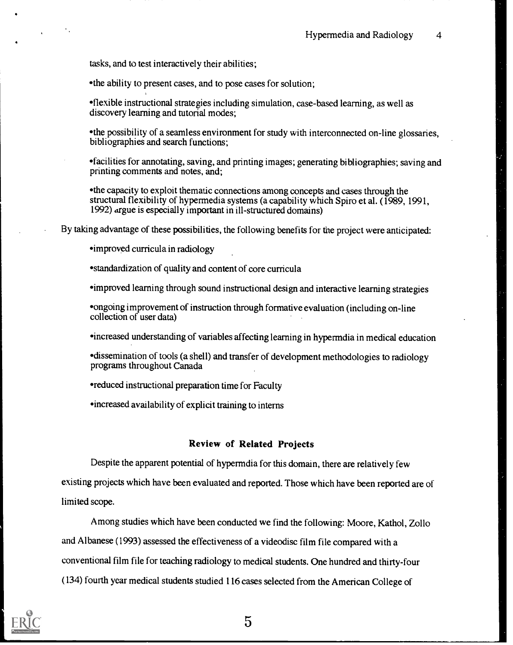tasks, and to test interactively their abilities;

the ability to present cases, and to pose cases for solution;

flexible instructional strategies including simulation, case-based learning, as well as discovery learning and tutorial modes;

the possibility of a seamless environment for study with interconnected on-line glossaries, bibliographies and search functions;

facilities for annotating, saving, and printing images; generating bibliographies; saving and printing comments and notes, and;

the capacity to exploit thematic connections among concepts and cases through the structural flexibility of hypermedia systems (a capability which Spiro et al. (1989, 1991, 1992) argue is especially important in ill-structured domains)

By taking advantage of these possibilities, the following benefits for the project were anticipated:

improved curricula in radiology

standardization of quality and content of core curricula

improved learning through sound instructional design and interactive learning strategies

ongoing improvement of instruction through formative evaluation (including on-line collection of user data)

increased understanding of variables affecting learning in hypermdia in medical education

dissemination of tools (a shell) and transfer of development methodologies to radiology programs throughout Canada

reduced instructional preparation time for Faculty

increased availability of explicit training to interns

#### Review of Related Projects

Despite the apparent potential of hypermdia for this domain, there are relatively few existing projects which have been evaluated and reported. Those which have been reported are of limited scope.

Among studies which have been conducted we find the following: Moore, Kathol, Zollo and Albanese (1993) assessed the effectiveness of a videodisc film file compared with a conventional film file for teaching radiology to medical students. One hundred and thirty-four (134) fourth year medical students studied 116 cases selected from the American College of

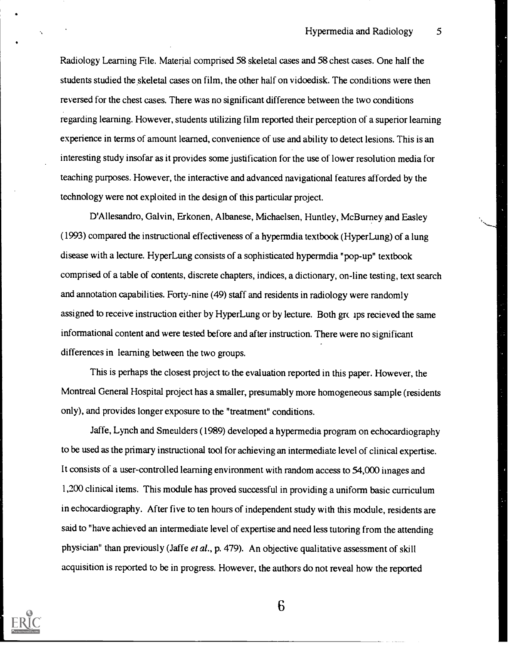Radiology Learning File. Material comprised 58 skeletal cases and 58 chest cases. One half the students studied the skeletal cases on film, the other half on vidoedisk. The conditions were then reversed for the chest cases. There was no significant difference between the two conditions regarding learning. However, students utilizing film reported their perception of a superior learning experience in terms of amount learned, convenience of use and ability to detect lesions. This is an interesting study insofar as it provides some justification for the use of lower resolution media for teaching purposes. However, the interactive and advanced navigational features afforded by the technology were not exploited in the design of this particular project.

D'Allesandro, Galvin, Erkonen, Albanese, Michaelsen, Huntley, Mc Burney and Fasley (1993) compared the instructional effectiveness of a hypermdia textbook (Hyper Lung) of a lung disease with a lecture. HyperLung consists of a sophisticated hypermdia "pop-up" textbook comprised of a table of contents, discrete chapters, indices, a dictionary, on-line testing, text search and annotation capabilities. Forty-nine (49) staff and residents in radiology were randomly assigned to receive instruction either by HyperLung or by lecture. Both groups recieved the same informational content and were tested before and after instruction. There were no significant differences in learning between the two groups.

This is perhaps the closest project to the evaluation reported in this paper. However, the Montreal General Hospital project has a smaller, presumably more homogeneous sample (residents only), and provides longer exposure to the "treatment" conditions.

Jaffe, Lynch and Smeulders (1989) developed a hypermedia program on echocardiography to be used as the primary instructional tool for achieving an intermediate level of clinical expertise. It consists of a user-controlled learning environment with random access to 54,000 images and 1,200 clinical items. This module has proved successful in providing a uniform basic curriculum in echocardiography. After five to ten hours of independent study with this module, residents are said to "have achieved an intermediate level of expertise and need less tutoring from the attending physician" than previously (Jaffe et al., p. 479). An objective qualitative assessment of skill acquisition is reported to be in progress. However, the authors do not reveal how the reported

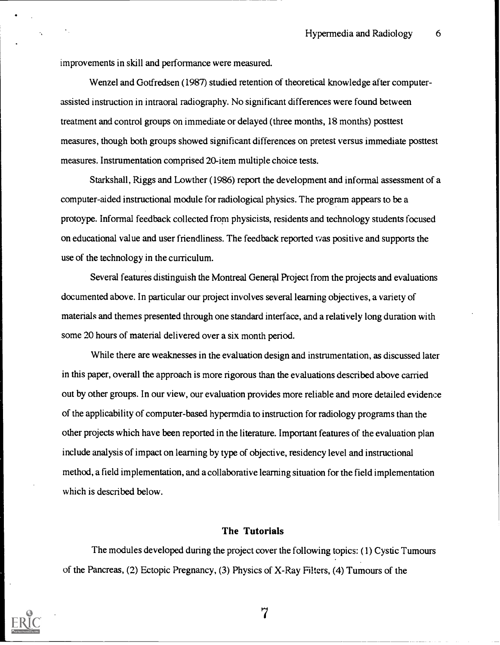improvements in skill and performance were measured.

Wenzel and Gotfredsen (1987) studied retention of theoretical knowledge after computerassisted instruction in intraoral radiography. No significant differences were found between treatment and control groups on immediate or delayed (three months, 18 months) posttest measures, though both groups showed significant differences on pretest versus immediate posttest measures. Instrumentation comprised 20-item multiple choice tests.

Starkshall, Riggs and Lowther (1986) report the development and informal assessment of a computer-aided instructional module for radiological physics. The program appears to be a protoype. Informal feedback collected from physicists, residents and technology students focused on educational value and user friendliness. The feedback reported was positive and supports the use of the technology in the curriculum.

Several features distinguish the Montreal General Project from the projects and evaluations documented above. In particular our project involves several learning objectives, a variety of materials and themes presented through one standard interface, and a relatively long duration with some 20 hours of material delivered over a six month period.

While there are weaknesses in the evaluation design and instrumentation, as discussed later in this paper, overall the approach is more rigorous than the evaluations described above carried out by other groups. In our view, our evaluation provides more reliable and more detailed evidence of the applicability of computer-based hypermdia to instruction for radiology programs than the other projects which have been reported in the literature. Important features of the evaluation plan include analysis of impact on learning by type of objective, residency level and instructional method, a field implementation, and a collaborative learning situation for the field implementation which is described below.

#### The Tutorials

The modules developed during the project cover the following topics: (1) Cystic Tumours of the Pancreas, (2) Ectopic Pregnancy, (3) Physics of X-Ray Filters, (4) Tumours of the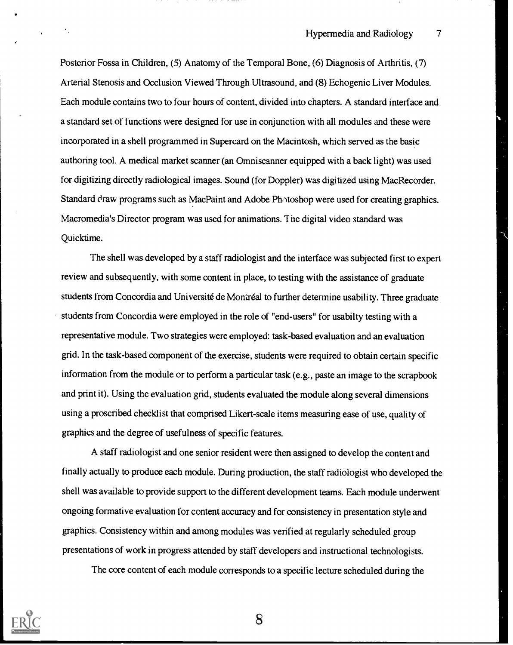Hypermedia and Radiology 7

Posterior Fossa in Children, (5) Anatomy of the Temporal Bone, (6) Diagnosis of Arthritis, (7) Arterial Stenosis and Occlusion Viewed Through Ultrasound, and (8) Echogenic Liver Modules. Each module contains two to four hours of content, divided into chapters. A standard interface and a standard set of functions were designed for use in conjunction with all modules and these were incorporated in a shell programmed in Supercard on the Macintosh, which served as the basic authoring tool. A medical market scanner (an Omniscanner equipped with a back light) was used for digitizing directly radiological images. Sound (for Doppler) was digitized using Mac Recorder. Standard draw programs such as MacPaint and Adobe Photoshop were used for creating graphics. Macromedia's Director program was used for animations. The digital video standard was Quicktime.

The shell was developed by a staff radiologist and the interface was subjected first to expert review and subsequently, with some content in place, to testing with the assistance of graduate students from Concordia and Universite de Montreal to further determine usability. Three graduate students from Concordia were employed in the role of "end-users" for usabilty testing with a representative module. Two strategies were employed: task-based evaluation and an evaluation grid. In the task-based component of the exercise, students were required to obtain certain specific information from the module or to perform a particular task (e.g., paste an image to the scrapbook and print it). Using the evaluation grid, students evaluated the module along several dimensions using a proscribed checklist that comprised Likert-scale items measuring ease of use, quality of graphics and the degree of usefulness of specific features.

A staff radiologist and one senior resident were then assigned to develop the content and finally actually to produce each module. During production, the staff radiologist who developed the shell was available to provide support to the different development teams. Each module underwent ongoing formative evaluation for content accuracy and for consistency in presentation style and graphics. Consistency within and among modules was verified at regularly scheduled group presentations of work in progress attended by staff developers and instructional technologists.

The core content of each module corresponds to a specific lecture scheduled during the



 $\mathcal{F}_1$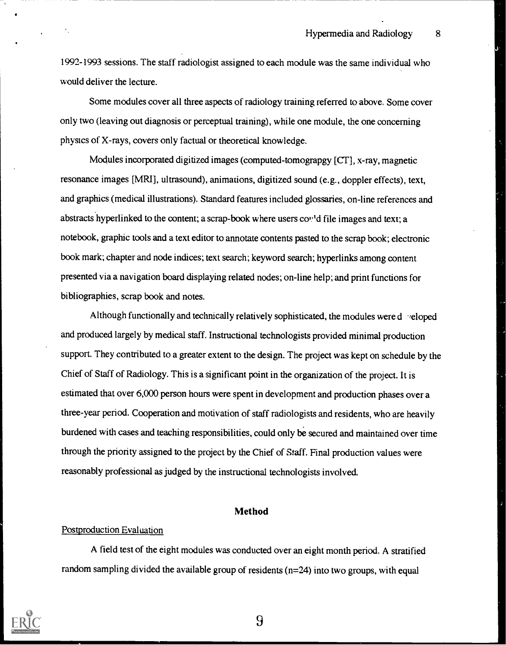1992-1993 sessions. The staff radiologist assigned to each module was the same individual who would deliver the lecture.

Some modules cover all three aspects of radiology training referred to above. Some cover only two (leaving out diagnosis or perceptual training), while one module, the one concerning physics of X-rays, covers only factual or theoretical knowledge.

Modules incorporated digitized images (computed-tomograpgy [CT], x-ray, magnetic resonance images [MRI], ultrasound), animations, digitized sound (e.g., doppler effects), text, and graphics (medical illustrations). Standard features included glossaries, on-line references and abstracts hyperlinked to the content; a scrap-book where users cond file images and text; a notebook, graphic tools and a text editor to annotate contents pasted to the scrap book; electronic book mark; chapter and node indices; text search; keyword search; hyperlinks among content presented via a navigation board displaying related nodes; on-line help; and print functions for bibliographies, scrap book and notes.

Although functionally and technically relatively sophisticated, the modules were d "eloped and produced largely by medical staff. Instructional technologists provided minimal production support. They contributed to a greater extent to the design. The project was kept on schedule by the Chief of Staff of Radiology. This is a significant point in the organization of the project. It is estimated that over 6,000 person hours were spent in development and production phases over a three-year period. Cooperation and motivation of staff radiologists and residents, who are heavily burdened with cases and teaching responsibilities, could only be secured and maintained over time through the priority assigned to the project by the Chief of Staff. Final production values were reasonably professional as judged by the instructional technologists involved.

#### Method

#### Postproduction Evaluation

A field test of the eight modules was conducted over an eight month period. A stratified random sampling divided the available group of residents (n=24) into two groups, with equal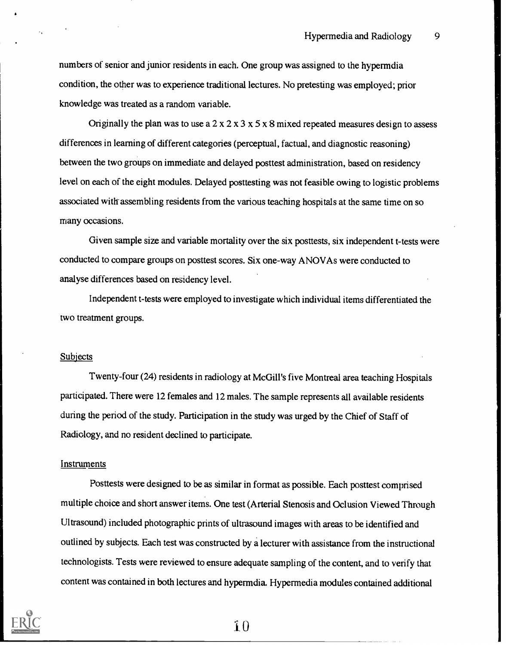numbers of senior and junior residents in each. One group was assigned to the hypermdia condition, the other was to experience traditional lectures. No pretesting was employed; prior knowledge was treated as a random variable.

Originally the plan was to use a  $2 \times 2 \times 3 \times 5 \times 8$  mixed repeated measures design to assess differences in learning of different categories (perceptual, factual, and diagnostic reasoning) between the two groups on immediate and delayed posttest administration, based on residency level on each of the eight modules. Delayed posttesting was not feasible owing to logistic problems associated with assembling residents from the various teaching hospitals at the same time on so many occasions.

Given sample size and variable mortality over the six posttests, six independent t-tests were conducted to compare groups on posttest scores. Six one-way ANOVAs were conducted to analyse differences based on residency level.

Independent t-tests were employed to investigate which individual items differentiated the two treatment groups.

#### Subjects

Twenty-four (24) residents in radiology at McGill's five Montreal area teaching Hospitals participated. There were 12 females and 12 males. The sample represents all available residents during the period of the study. Participation in the study was urged by the Chief of Staff of Radiology, and no resident declined to participate.

#### Instruments

Posttests were designed to be as similar in format as possible. Each posttest comprised multiple choice and short answer items. One test (Arterial Stenosis and Oclusion Viewed Through Ultrasound) included photographic prints of ultrasound images with areas to be identified and outlined by subjects. Each test was constructed by a lecturer with assistance from the instructional technologists. Tests were reviewed to ensure adequate sampling of the content, and to verify that content was contained in both lectures and hypermdia. Hypermedia modules contained additional

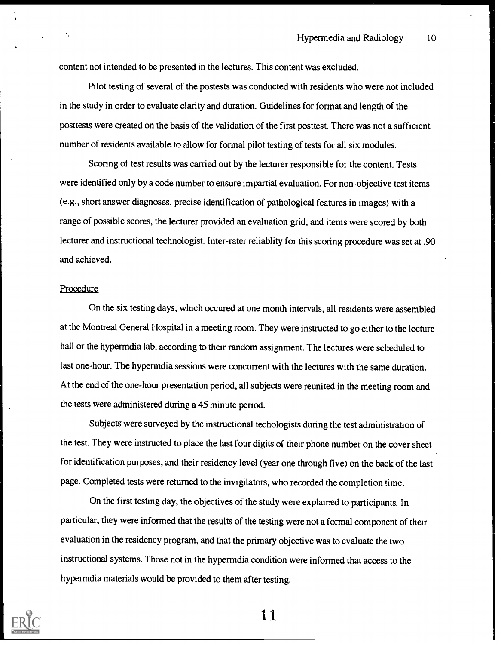content not intended to be presented in the lectures. This content was excluded.

Pilot testing of several of the postests was conducted with residents who were not included in the study in order to evaluate clarity and duration. Guidelines for format and length of the posttests were created on the basis of the validation of the first posttest. There was not a sufficient number of residents available to allow for formal pilot testing of tests for all six modules.

Scoring of test results was carried out by the lecturer responsible foi the content. Tests were identified only by a code number to ensure impartial evaluation. For non-objective test items (e.g., short answer diagnoses, precise identification of pathological features in images) with a range of possible scores, the lecturer provided an evaluation grid, and items were scored by both lecturer and instructional technologist. Inter-rater reliablity for this scoring procedure was set at .90 and achieved.

#### Procedure

On the six testing days, which occured at one month intervals, all residents were assembled at the Montreal General Hospital in a meeting room. They were instructed to go either to the lecture hall or the hypermdia lab, according to their random assignment. The lectures were scheduled to last one-hour. The hypermdia sessions were concurrent with the lectures with the same duration. At the end of the one-hour presentation period, all subjects were reunited in the meeting room and the tests were administered during a 45 minute period.

Subjects' were surveyed by the instructional techologists during the test administration of the test. They were instructed to place the last four digits of their phone number on the cover sheet for identification purposes, and their residency level (yearone through five) on the back of the last page. Completed tests were returned to the invigilators, who recorded the completion time.

On the first testing day, the objectives of the study were explained to participants. In particular, they were informed that the results of the testing were not a formal component of their evaluation in the residency program, and that the primary objective was to evaluate the two instructional systems. Those not in the hypermdia condition were informed that access to the hypermdia materials would be provided to them after testing.



1.1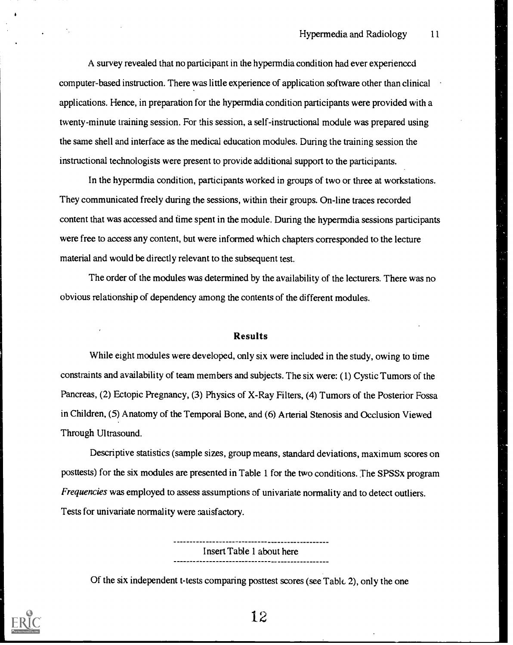A survey revealed that no participant in the hypermdia condition had ever experienced computer-based instruction. There was little experience of application software other than clinical applications. Hence, in preparation for the hypermdia condition participants were provided with a twenty-minute training session. For this session, a self-instructional module was prepared using the same shell and interface as the medical education modules. During the training session the instructional technologists were present to provide additional support to the participants.

In the hypermdia condition, participants worked in groups of two or three at workstations. They communicated freely during the sessions, within their groups. On-line traces recorded content that was accessed and time spent in the module. During the hypermdia sessions participants were free to access any content, but were informed which chapters corresponded to the lecture material and would be directly relevant to the subsequent test.

The order of the modules was determined by the availability of the lecturers. There was no obvious relationship of dependency among the contents of the different modules.

#### Results

While eight modules were developed, only six were included in the study, owing to time constraints and availability of team members and subjects. The six were: (1) Cystic Tumors of the Pancreas, (2) Ectopic Pregnancy, (3) Physics of X-Ray Filters, (4) Tumors of the Posterior Fossa in Children, (5) Anatomy of the Temporal Bone, and (6) Arterial Stenosis and Occlusion Viewed Through Ultrasound.

Descriptive statistics (sample sizes, group means, standard deviations, maximum scores on posttests) for the six modules are presented in Table 1 for the two conditions. The SPSSx program Frequencies was employed to assess assumptions of univariate normality and to detect outliers. Tests for univariate normality were satisfactory.

> Insert Table 1 about here

Of the six independent t-tests comparing posttest scores (see Table 2), only the one

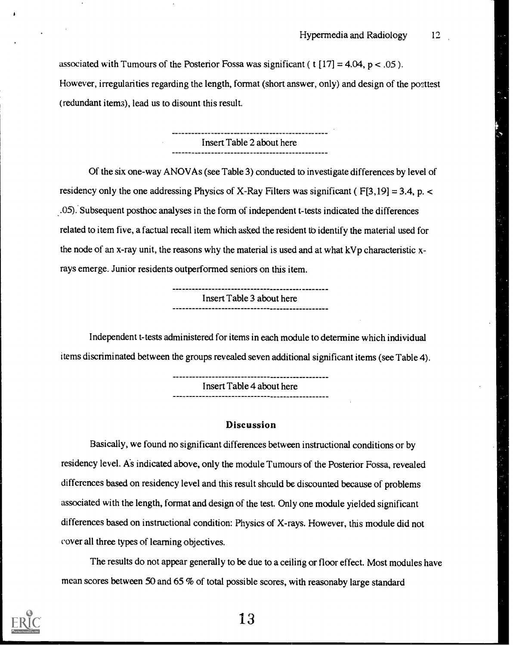associated with Tumours of the Posterior Fossa was significant ( $t$  [17] = 4.04, p < .05). However, irregularities regarding the length, format (short answer, only) and design of the posttest (redundant item3), lead us to disount this result.

> Insert Table 2 about here

Of the six one-way ANOVAs (see Table 3) conducted to investigate differences by level of residency only the one addressing Physics of X-Ray Filters was significant ( $F[3,19] = 3.4$ , p. < .05). Subsequent posthoc analyses in the form of independent t-tests indicated the differences related to item five, a factual recall item which asked the resident to identify the material used for the node of an x-ray unit, the reasons why the material is used and at what kVp characteristic xrays emerge. Junior residents outperformed seniors on this item.

Insert Table 3 about here

Independent t-tests administered for items in each module to determine which individual items discriminated between the groups revealed seven additional significant items (see Table 4).

> Insert Table 4 about here

#### Discussion

Basically, we found no significant differences between instructional conditions or by residency level. As indicated above, only the module Tumours of the Posterior Fossa, revealed differences based on residency level and this result should be discounted because of problems associated with the length, format and design of the test. Only one module yielded significant differences based on instructional condition: Physics of X-rays. However, this module did not cover all three types of learning objectives.

The results do not appear generally to be due to a ceiling or floor effect. Most modules have mean scores between 50 and 65 % of total possible scores, with reasonaby large standard

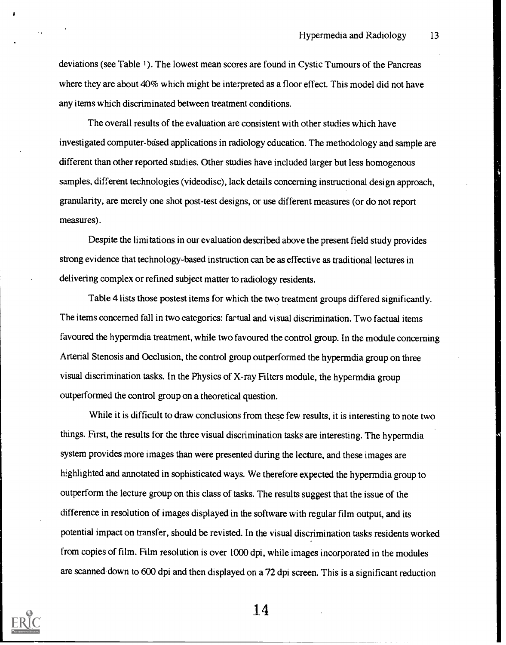deviations (see Table 1). The lowest mean scores are found in Cystic Tumours of the Pancreas where they are about 40% which might be interpreted as a floor effect. This model did not have any items which discriminated between treatment conditions.

The overall results of the evaluation are consistent with other studies which have investigated computer-based applications in radiology education. The methodology and sample are different than other reported studies. Other studies have included larger but less homogenous samples, different technologies (videodisc), lack details concerning instructional design approach, granularity, are merely one shot post-test designs, or use different measures (or do not report measures).

Despite the limitations in our evaluation described above the present field study provides strong evidence that technology-based instruction can be as effective as traditional lectures in delivering complex or refined subject matter to radiology residents.

Table 4 lists those postest items for which the two treatment groups differed significantly. The items concerned fall in two categories: factual and visual discrimination. Two factual items favoured the hypermdia treatment, while two favoured the control group. In the module concerning Arterial Stenosis and Occlusion, the control group outperformed the hypermdia group on three visual discrimination tasks. In the Physics of X-ray Filters module, the hypermdia group outperformed the control group on a theoretical question.

While it is difficult to draw conclusions from these few results, it is interesting to note two things. First, the results for the three visual discrimination tasks are interesting. The hypermdia system provides more images than were presented during the lecture, and these images are highlighted and annotated in sophisticated ways. We therefore expected the hypermdiagroup to outperform the lecture group on this class of tasks. The results suggest that the issue of the difference in resolution of images displayed in the software with regular film output, and its potential impact on transfer, should be revisted. In the visual discrimination tasks residents worked from copies of film. Film resolution is over 1000 dpi, while images incorporated in the modules are scanned down to 600 dpi and then displayed on a 72 dpi screen. This is a significant reduction

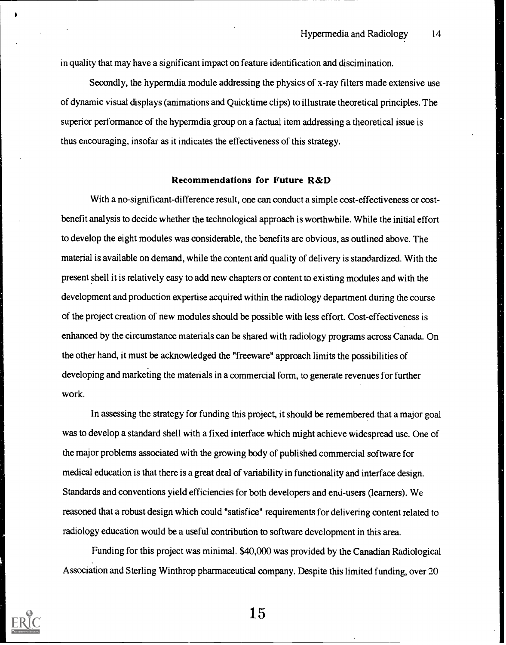in quality that may have a significant impact on feature identification and discimination.

Secondly, the hypermdia module addressing the physics of x-ray filters made extensive use of dynamic visual displays (animations and Quicktime clips) to illustrate theoretical principles. The superior performance of the hypermdia group on a factual item addressing a theoretical issue is thus encouraging, insofar as it indicates the effectiveness of this strategy.

#### Recommendations for Future R&D

With a no-significant-difference result, one can conduct a simple cost-effectiveness or costbenefit analysis to decide whether the technological approach is worthwhile. While the initial effort to develop the eight modules was considerable, the benefits are obvious, as outlined above. The material is available on demand, while the content and quality of delivery is standardized. With the present shell it is relatively easy to add new chapters or content to existing modules and with the development and production expertise acquired within the radiology department during the course of the project creation of new modules should be possible with less effort. Cost-effectiveness is enhanced by the circumstance materials can be shared with radiology programs across Canada. On the other hand, it must be acknowledged the "freeware" approach limits the possibilities of developing and marketing the materials in a commercial form, to generate revenues for further work.

In assessing the strategy for funding this project, it should be remembered that a major goal was to develop a standard shell with a fixed interface which might achieve widespread use. One of the major problems associated with the growing body of published commercial software for medical education is that there is a great deal of variability in functionality and interface design. Standards and conventions yield efficiencies for both developers and end-users (learners). We reasoned that a robust design which could "satisfice" requirements for delivering content related to radiology education would be a useful contribution to software development in this area.

Funding for this project was minimal. \$40,000 was provided by the Canadian Radiological Association and Sterling Winthrop pharmaceutical company. Despite this limited funding, over 20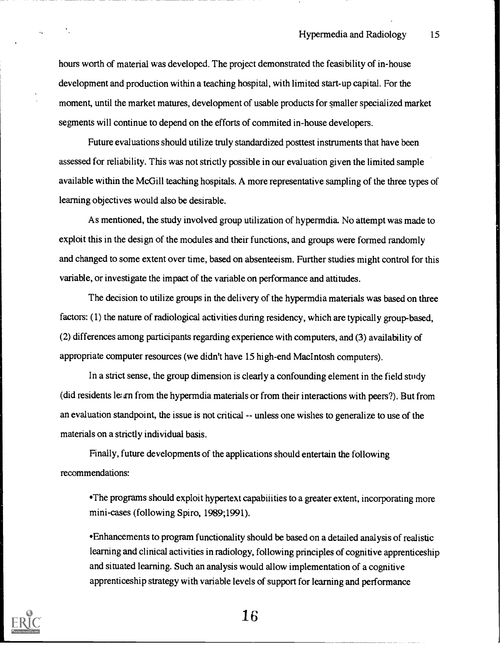Hypermedia and Radiology 15

hours worth of material was developed. The project demonstrated the feasibility of in-house development and production within a teaching hospital, with limited start-up capital. For the moment, until the market matures, development of usable products for smaller specialized market segments will continue to depend on the efforts of commited in-house developers.

Future evaluations should utilize truly standardized posttest instruments that have been assessed for reliability. This was not strictly possible in our evaluation given the limited sample available within the McGill teaching hospitals. A more representative sampling of the three types of learning objectives would also be desirable.

As mentioned, the study involved group utilization of hypermdia. No attempt was made to exploit this in the design of the modules and their functions, and groups were formed randomly and changed to some extent over time, based on absenteeism. Further studies might control for this variable, or investigate the impact of the variable on performance and attitudes.

The decision to utilize groups in the delivery of the hypermdia materials was based on three factors: (1) the nature of radiological activities during residency, which are typically group-based, (2) differences among participants regarding experience with computers, and (3) availability of appropriate computer resources (we didn't have 15 high-end Macintosh computers).

In a strict sense, the group dimension is clearly a confounding element in the field study (did residents le; irn from the hypermdia materials or from their interactions with peers?). But from an evaluation standpoint, the issue is not critical -- unless one wishes to generalize to use of the materials on a strictly individual basis.

Finally, future developments of the applications should entertain the following recommendations:

The programs should exploit hypertext capabilities to a greater extent, incorporating more mini-cases (following Spiro, 1989;1991).

'Enhancements to program functionality should be based on a detailed analysis of realistic learning and clinical activities in radiology, following principles of cognitive apprenticeship and situated learning. Such an analysis would allow implementation of a cognitive apprenticeship strategy with variable levels of support for learning and performance

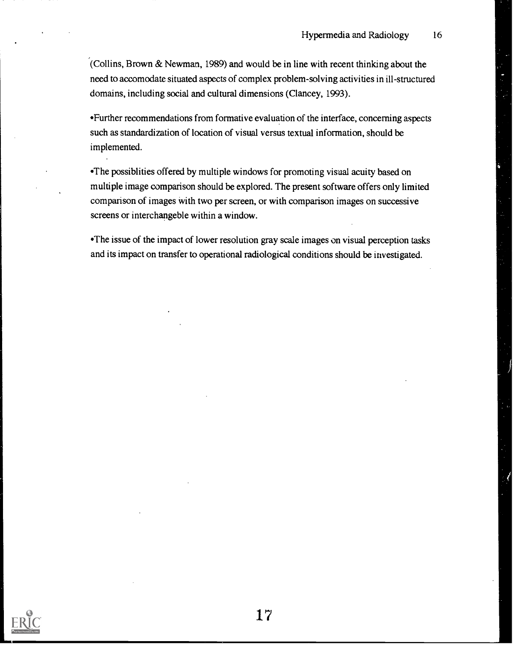(Collins, Brown & Newman, 1989) and would be in line with recent thinking about the need to accomodate situated aspects of complex problem-solving activities in ill-structured domains, including social and cultural dimensions (Clancey, 1993).

Further recommendations from formative evaluation of the interface, concerning aspects such as standardization of location of visual versus textual information, should be implemented.

The possiblities offered by multiple windows for promoting visual acuity based on multiple image comparison should be explored. The present software offers only limited comparison of images with two per screen, or with comparison images on successive screens or interchangeble within a window.

The issue of the impact of lower resolution gray scale images on visual perception tasks and its impact on transfer to operational radiological conditions should be investigated.

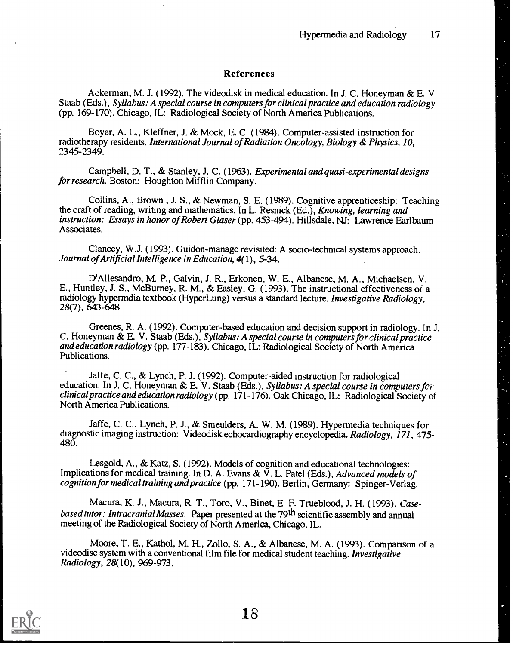#### References

Ackerman, M. J. (1992). The videodisk in medical education. In J. C. Honeyman & E. V. Staab (Eds.), Syllabus: A special course in computers for clinical practice and education radiology (pp. 169-170). Chicago, IL: Radiological Society of North America Publications.

Boyer, A. L., Kleffner, J. & Mock, E. C. (1984). Computer-assisted instruction for radiotherapy residents. International Journal of Radiation Oncology, Biology & Physics, 10, 2345-2349.

Campbell, D. T., & Stanley, J. C. (1963). Experimental and quasi-experimental designs for research. Boston: Houghton Mifflin Company.

Collins, A., Brown , J. S., & Newman, S. E. (1989). Cognitive apprenticeship: Teaching the craft of reading, writing and mathematics. In L. Resnick (Ed.), Knowing, learning and instruction: Essays in honor of Robert Glaser (pp. 453-494). Hillsdale, NJ: Lawrence Earlbaum Associates.

Clancey, W.J. (1993). Guidon-manage revisited: A socio-technical systems approach. Journal of Artificial Intelligence in Education, 4(1), 5-34.

D'Allesandro, M. P., Galvin, J. R., Erkonen, W. E., Albanese, M. A., Michaelsen, V. E., Huntley, J. S., McBurney, R. M., & Fasley, G. (1993). The instructional effectiveness of a radiology hypermdia textbook (HyperLung) versus a standard lecture. Investigative Radiology, 28(7), 643-648.

Greenes, R. A. (1992). Computer-based education and decision support in radiology. In J. C. Honeyman & E. V. Staab (Eds.), Syllabus: A special course in computers for clinical practice and education radiology (pp. 177-183). Chicago, IL: Radiological Society of North America Publications.

Jaffe, C. C., & Lynch, P. J. (1992). Computer-aided instruction for radiological education. In J. C. Honeyman & E. V. Staab (Eds.), Syllabus: A special course in computers for clinical practice and education radiology (pp. 171-176). Oak Chicago, IL: Radiological Society of North America Publications.

Jaffe, C. C., Lynch, P. J., & Smeulders, A. W. M. (1989). Hypermedia techniques for diagnostic imaging instruction: Videodisk echocardiography encyclopedia. Radiology, 171, 475-480.

Lesgold, A., & Katz, S. (1992). Models of cognition and educational technologies: Implications for medical training. In D. A. Evans & V. L. Patel (Eds.), Advanced models of cognition for medical training and practice (pp. 171-190). Berlin, Germany: Spinger-Verlag.

Macura, K. J., Macura, R. T., Toro, V., Binet, E. F. Trueblood, J. H. (1993). Casebased tutor: Intracranial Masses. Paper presented at the 79<sup>th</sup> scientific assembly and annual meeting of the Radiological Society of North America, Chicago, IL.

Moore, T. E., Kathol, M. H., Zollo, S. A., & Albanese, M. A. (1993). Comparison of a videodisc system with a conventional film file for medical student teaching. Investigative Radiology, 28(10), 969-973.

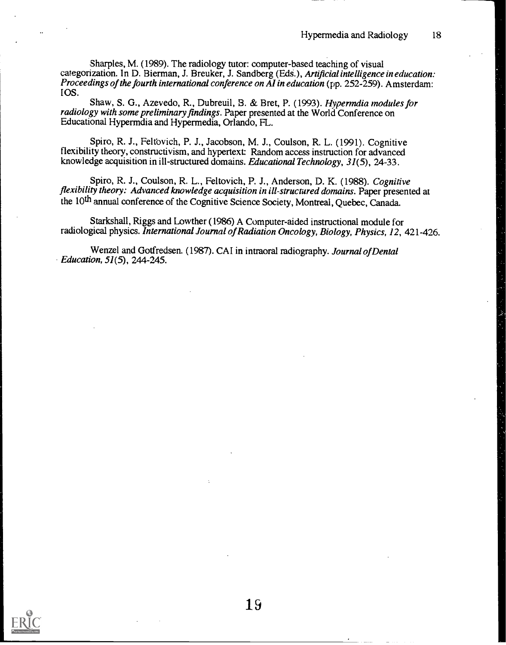Sharpies, M. (1989). The radiology tutor: computer-based teaching of visual categorization. In D. Bierman, J. Breuker, J. Sandberg (Eds.), Artificial intelligence in education: Proceedings of the fourth international conference on AI in education (pp. 252-259). Amsterdam: IOS.

Shaw, S. G., Azevedo, R., Dubreuil, B. & Bret, P. (1993). Hypermdia modules for radiology with some preliminary findings. Paper presented at the World Conference on Educational Hypermdia and Hypermedia, Orlando, FL.

Spiro, R. J., Feltovich, P. J., Jacobson, M. J., Coulson, R. L. (1991). Cognitive flexibility theory, constructivism, and hypertext: Random access instruction for advanced knowledge acquisition in ill-structured domains. Educational Technology, 31(5), 24-33.

Spiro, R. J., Coulson, R. L., Feltovich, P. J., Anderson, D. K. (1988). Cognitive flexibility theory: Advanced knowledge acquisition in ill-structured domains. Paper presented at the 10th annual conference of the Cognitive Science Society, Montreal, Quebec, Canada.

Starkshall, Riggs and Lowther (1986) A Computer-aided instructional module for radiological physics. International Journal of Radiation Oncology, Biology, Physics, 12, 421-426.

Wenzel and Gotfredsen. (1987). CAI in intraoral radiography. Journal of Dental Education, 51(5), 244-245.

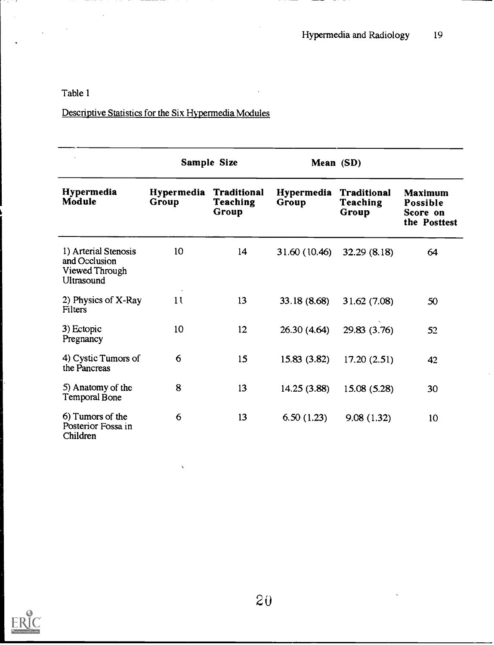Descriptive Statistics for the Six Hypermedia Modules

|                                                                       | Sample Size                |                                         | Mean (SD)                                                             |              |                                                 |
|-----------------------------------------------------------------------|----------------------------|-----------------------------------------|-----------------------------------------------------------------------|--------------|-------------------------------------------------|
| Hypermedia<br>Module                                                  | <b>Hypermedia</b><br>Group | <b>Traditional</b><br>Teaching<br>Group | <b>Hypermedia</b><br><b>Traditional</b><br>Group<br>Teaching<br>Group |              | Maximum<br>Possible<br>Score on<br>the Posttest |
| 1) Arterial Stenosis<br>and Occlusion<br>Viewed Through<br>Ultrasound | 10 <sup>°</sup>            | 14                                      | 31.60 (10.46)                                                         | 32.29 (8.18) | 64                                              |
| 2) Physics of X-Ray<br>Filters                                        | 11                         | 13                                      | 33.18 (8.68)                                                          | 31.62 (7.08) | 50                                              |
| 3) Ectopic<br>Pregnancy                                               | 10                         | 12                                      | 26.30(4.64)                                                           | 29.83 (3.76) | 52                                              |
| 4) Cystic Tumors of<br>the Pancreas                                   | 6                          | 15                                      | 15.83(3.82)                                                           | 17.20(2.51)  | 42                                              |
| 5) Anatomy of the<br>Temporal Bone                                    | 8                          | 13                                      | 14.25(3.88)                                                           | 15.08(5.28)  | 30                                              |
| 6) Tumors of the<br>Posterior Fossa in<br>Children                    | 6                          | 13                                      | 6.50(1.23)                                                            | 9.08(1.32)   | 10                                              |

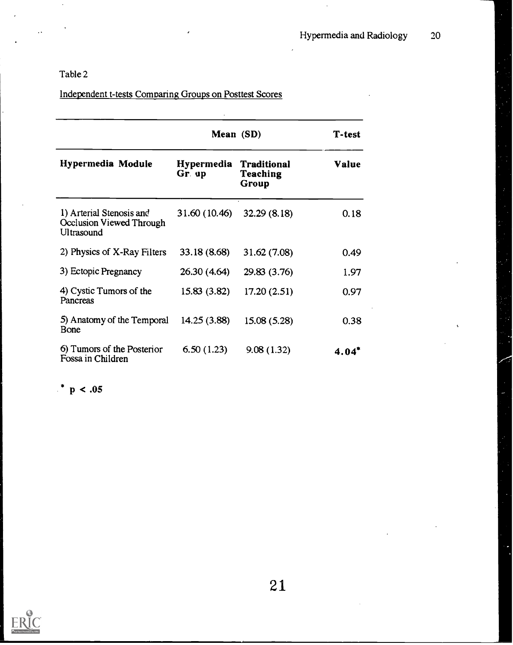## Independent t-tests Comparing Groups on Posttest Scores

|                                                                    | Mean (SD)                                                       | T-test       |              |
|--------------------------------------------------------------------|-----------------------------------------------------------------|--------------|--------------|
| <b>Hypermedia Module</b>                                           | Hypermedia<br><b>Traditional</b><br>Teaching<br>Gr. up<br>Group |              | <b>Value</b> |
| 1) Arterial Stenosis and<br>Occlusion Viewed Through<br>Ultrasound | $31.60(10.46)$ $32.29(8.18)$                                    |              | 0.18         |
| 2) Physics of X-Ray Filters                                        | 33.18 (8.68)                                                    | 31.62(7.08)  | 0.49         |
| 3) Ectopic Pregnancy                                               | 26.30 (4.64)                                                    | 29.83 (3.76) | 1.97         |
| 4) Cystic Tumors of the<br>Pancreas                                | 15.83(3.82)                                                     | 17.20(2.51)  | 0.97         |
| 5) Anatomy of the Temporal<br>Bone                                 | 14.25 (3.88)                                                    | 15.08 (5.28) | 0.38         |
| 6) Tumors of the Posterior<br>Fossa in Children                    | 6.50(1.23)                                                      | 9.08(1.32)   | $4.04*$      |

 $*$  p < .05

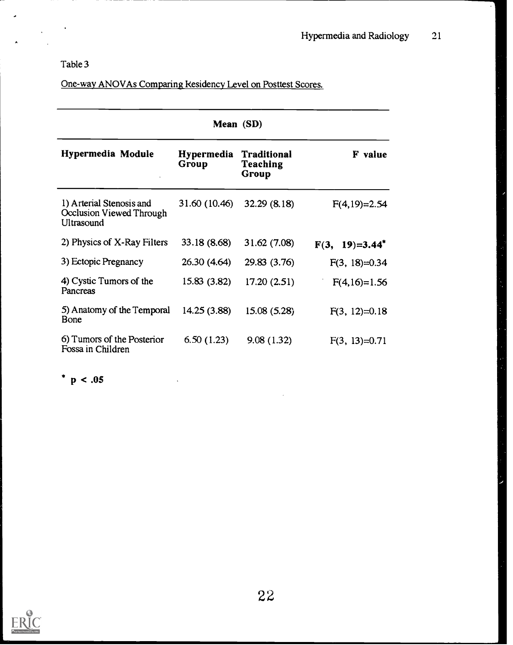$\ddot{\phantom{1}}$ 

 $\mathcal{L}$ 

 $\overline{\phantom{a}}$ 

 $\lambda$ 

| One-way ANOVAs Comparing Residency Level on Posttest Scores. |  |
|--------------------------------------------------------------|--|
|                                                              |  |

| Mean (SD)                                                          |                            |                                         |                   |  |  |
|--------------------------------------------------------------------|----------------------------|-----------------------------------------|-------------------|--|--|
| Hypermedia Module                                                  | <b>Hypermedia</b><br>Group | <b>Traditional</b><br>Teaching<br>Group | <b>F</b> value    |  |  |
| 1) Arterial Stenosis and<br>Occlusion Viewed Through<br>Ultrasound | 31.60 (10.46)              | 32.29(8.18)                             | $F(4,19)=2.54$    |  |  |
| 2) Physics of X-Ray Filters                                        | 33.18 (8.68)               | 31.62(7.08)                             | $F(3, 19)=3.44^*$ |  |  |
| 3) Ectopic Pregnancy                                               | 26.30 (4.64)               | 29.83 (3.76)                            | $F(3, 18)=0.34$   |  |  |
| 4) Cystic Tumors of the<br>Pancreas                                | 15.83 (3.82)               | 17.20(2.51)                             | $F(4,16)=1.56$    |  |  |
| 5) Anatomy of the Temporal<br>Bone                                 | 14.25 (3.88)               | 15.08(5.28)                             | $F(3, 12)=0.18$   |  |  |
| 6) Tumors of the Posterior<br>Fossa in Children                    | 6.50(1.23)                 | 9.08(1.32)                              | $F(3, 13)=0.71$   |  |  |

\*  $p < .05$ 



 $\bar{z}$